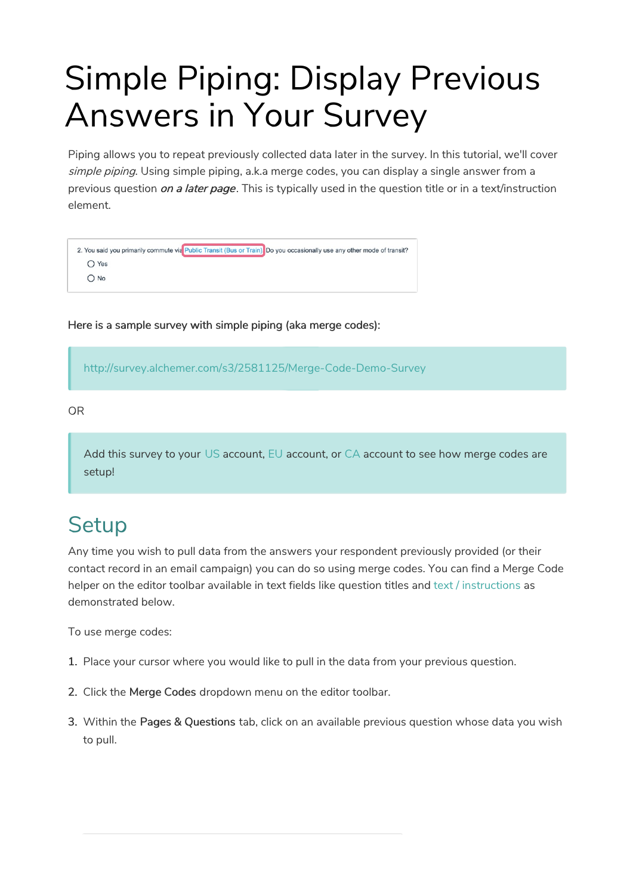# Simple Piping: Display Previous Answers in Your Survey

Piping allows you to repeat previously collected data later in the survey. In this tutorial, we'll cover simple piping. Using simple piping, a.k.a merge codes, you can display a single answer from a previous question on a later page. This is typically used in the question title or in a text/instruction element.

```
2. You said you primarily commute via Public Transit (Bus or Train) Do you occasionally use any other mode of transit?
O Yes
O No
```
Here is a sample survey with simple piping (aka merge codes):

http://survey.alchemer.com/s3/2581125/Merge-Code-Demo-Survey

OR

Add this survey to your US account, EU account, or CA account to see how merge codes are setup!

### **Setup**

Any time you wish to pull data from the answers your respondent previously provided (or their contact record in an email campaign) you can do so using merge codes. You can find a Merge Code helper on the editor toolbar available in text fields like question titles and text / instructions as demonstrated below.

To use merge codes:

- 1. Place your cursor where you would like to pull in the data from your previous question.
- 2. Click the Merge Codes dropdown menu on the editor toolbar.
- 3. Within the Pages & Questions tab, click on an available previous question whose data you wish to pull.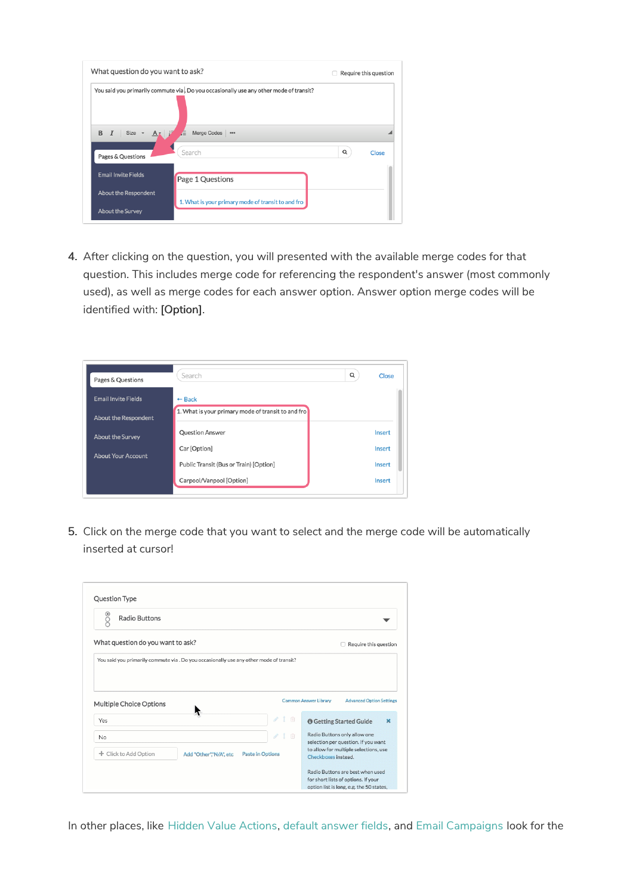| What question do you want to ask? |                                                                                        |   | Require this question |
|-----------------------------------|----------------------------------------------------------------------------------------|---|-----------------------|
|                                   | You said you primarily commute via. Do you occasionally use any other mode of transit? |   |                       |
|                                   |                                                                                        |   |                       |
| B<br>$Size -$                     | Merge Codes ***<br>Æ                                                                   |   |                       |
| Pages & Questions                 | Search                                                                                 | Q | Close                 |
| <b>Email Invite Fields</b>        | Page 1 Questions                                                                       |   |                       |
| <b>About the Respondent</b>       |                                                                                        |   |                       |
| <b>About the Survey</b>           | 1. What is your primary mode of transit to and fro                                     |   |                       |

4. After clicking on the question, you will presented with the available merge codes for that question. This includes merge code for referencing the respondent's answer (most commonly used), as well as merge codes for each answer option. Answer option merge codes will be identified with: [Option].



5. Click on the merge code that you want to select and the merge code will be automatically inserted at cursor!

| $\frac{1}{2}$<br><b>Radio Buttons</b> |                                                                                         |                                                                         |
|---------------------------------------|-----------------------------------------------------------------------------------------|-------------------------------------------------------------------------|
| What question do you want to ask?     |                                                                                         | Require this question                                                   |
|                                       | You said you primarily commute via . Do you occasionally use any other mode of transit? |                                                                         |
|                                       |                                                                                         |                                                                         |
|                                       |                                                                                         |                                                                         |
|                                       |                                                                                         |                                                                         |
| Multiple Choice Options               |                                                                                         | Common Answer Library<br><b>Advanced Option Settings</b>                |
|                                       | 面<br>D                                                                                  |                                                                         |
| Yes                                   |                                                                                         | <b>O</b> Getting Started Guide<br>$\mathbf x$                           |
| <b>No</b>                             | $\sigma^2$<br>1 面                                                                       | Radio Buttons only allow one<br>selection per question. If you want     |
| Click to Add Option<br>÷              | <b>Paste in Options</b><br>Add "Other","N/A", etc                                       | to allow for multiple selections, use                                   |
|                                       |                                                                                         | Checkboxes instead                                                      |
|                                       |                                                                                         | Radio Buttons are best when used<br>for short lists of options. If your |

In other places, like Hidden Value Actions, default answer fields, and Email Campaigns look for the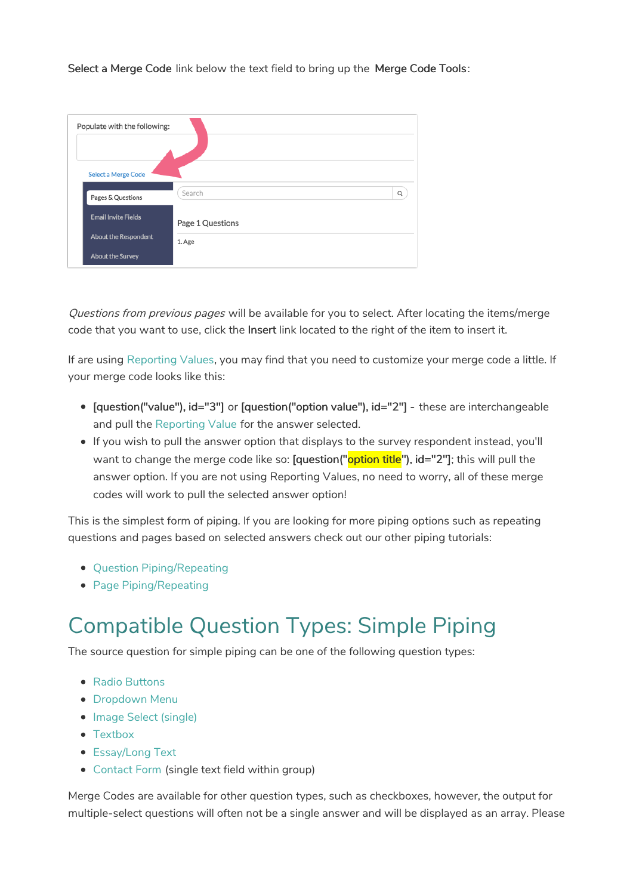Select a Merge Code link below the text field to bring up the Merge Code Tools:

| Populate with the following: |                  |   |
|------------------------------|------------------|---|
| <b>Select a Merge Code</b>   |                  |   |
| Pages & Questions            | Search           | Q |
| <b>Email Invite Fields</b>   | Page 1 Questions |   |
| <b>About the Respondent</b>  | 1. Age           |   |
| <b>About the Survey</b>      |                  |   |

Questions from previous pages will be available for you to select. After locating the items/merge code that you want to use, click the Insert link located to the right of the item to insert it.

If are using Reporting Values, you may find that you need to customize your merge code a little. If your merge code looks like this:

- [question("value"), id="3"] or [question("option value"), id="2"] these are interchangeable and pull the Reporting Value for the answer selected.
- If you wish to pull the answer option that displays to the survey respondent instead, you'll want to change the merge code like so: [question("option title"), id="2"]; this will pull the answer option. If you are not using Reporting Values, no need to worry, all of these merge codes will work to pull the selected answer option!

This is the simplest form of piping. If you are looking for more piping options such as repeating questions and pages based on selected answers check out our other piping tutorials:

- Ouestion Piping/Repeating
- Page Piping/Repeating

### Compatible Question Types: Simple Piping

The source question for simple piping can be one of the following question types:

- Radio Buttons
- **•** Dropdown Menu
- Image Select (single)
- Textbox
- Essay/Long Text
- Contact Form (single text field within group)

Merge Codes are available for other question types, such as checkboxes, however, the output for multiple-select questions will often not be a single answer and will be displayed as an array. Please